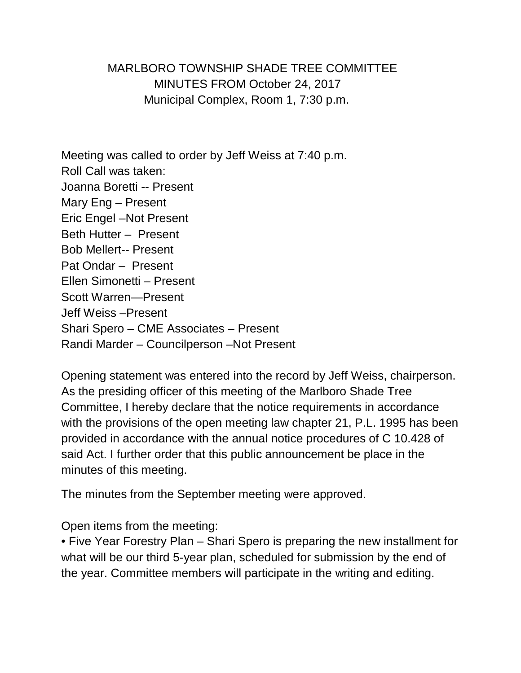MARLBORO TOWNSHIP SHADE TREE COMMITTEE MINUTES FROM October 24, 2017 Municipal Complex, Room 1, 7:30 p.m.

Meeting was called to order by Jeff Weiss at 7:40 p.m. Roll Call was taken: Joanna Boretti -- Present Mary Eng – Present Eric Engel –Not Present Beth Hutter – Present Bob Mellert-- Present Pat Ondar – Present Ellen Simonetti – Present Scott Warren—Present Jeff Weiss –Present Shari Spero – CME Associates – Present Randi Marder – Councilperson –Not Present

Opening statement was entered into the record by Jeff Weiss, chairperson. As the presiding officer of this meeting of the Marlboro Shade Tree Committee, I hereby declare that the notice requirements in accordance with the provisions of the open meeting law chapter 21, P.L. 1995 has been provided in accordance with the annual notice procedures of C 10.428 of said Act. I further order that this public announcement be place in the minutes of this meeting.

The minutes from the September meeting were approved.

Open items from the meeting:

• Five Year Forestry Plan – Shari Spero is preparing the new installment for what will be our third 5-year plan, scheduled for submission by the end of the year. Committee members will participate in the writing and editing.